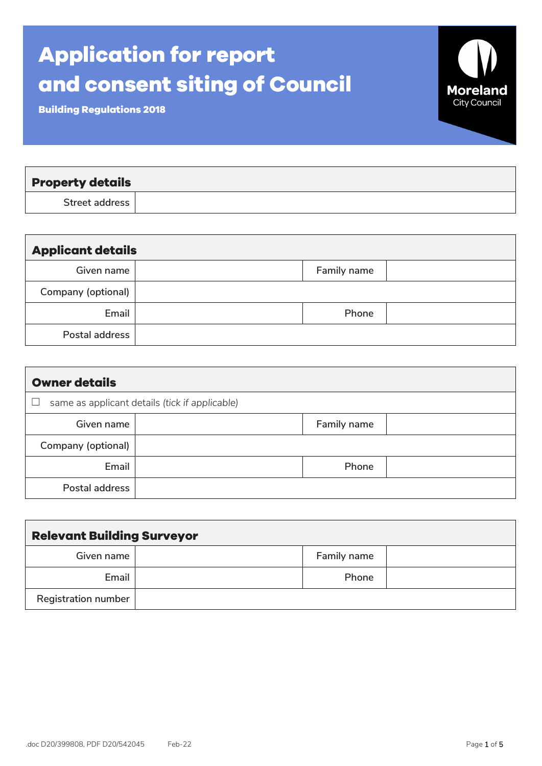# **Application for report and consent siting of Council**



**Building Regulations 2018**

| <b>Property details</b> |  |
|-------------------------|--|
| Street address          |  |

| <b>Applicant details</b> |  |             |  |
|--------------------------|--|-------------|--|
| Given name               |  | Family name |  |
| Company (optional)       |  |             |  |
| Email                    |  | Phone       |  |
| Postal address           |  |             |  |

| <b>Owner details</b>                           |  |             |  |
|------------------------------------------------|--|-------------|--|
| same as applicant details (tick if applicable) |  |             |  |
| Given name                                     |  | Family name |  |
| Company (optional)                             |  |             |  |
| Email                                          |  | Phone       |  |
| Postal address                                 |  |             |  |

| <b>Relevant Building Surveyor</b> |  |             |  |
|-----------------------------------|--|-------------|--|
| Given name                        |  | Family name |  |
| Email                             |  | Phone       |  |
| <b>Registration number</b>        |  |             |  |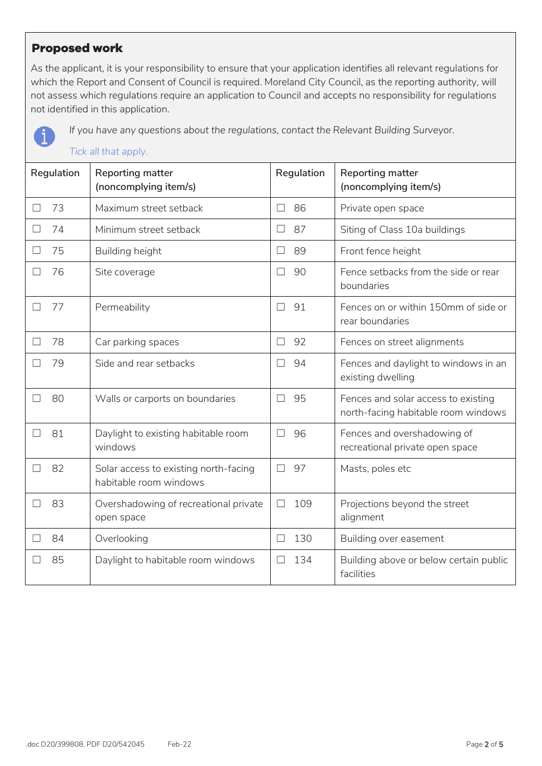## **Proposed work**

As the applicant, it is your responsibility to ensure that your application identifies all relevant regulations for which the Report and Consent of Council is required. Moreland City Council, as the reporting authority, will not assess which regulations require an application to Council and accepts no responsibility for regulations not identified in this application.



*If you have any questions about the regulations, contact the Relevant Building Surveyor.*

### *Tick all that apply.*

| Regulation | Reporting matter<br>(noncomplying item/s)                       | Regulation    | <b>Reporting matter</b><br>(noncomplying item/s)                           |
|------------|-----------------------------------------------------------------|---------------|----------------------------------------------------------------------------|
| 73         | Maximum street setback                                          | 86<br>$\Box$  | Private open space                                                         |
| 74         | Minimum street setback                                          | 87<br>$\Box$  | Siting of Class 10a buildings                                              |
| 75         | Building height                                                 | 89<br>П       | Front fence height                                                         |
| 76         | Site coverage                                                   | 90<br>$\Box$  | Fence setbacks from the side or rear<br>boundaries                         |
| 77         | Permeability                                                    | 91<br>$\Box$  | Fences on or within 150mm of side or<br>rear boundaries                    |
| 78         | Car parking spaces                                              | 92<br>$\Box$  | Fences on street alignments                                                |
| 79         | Side and rear setbacks                                          | 94<br>П       | Fences and daylight to windows in an<br>existing dwelling                  |
| 80         | Walls or carports on boundaries                                 | 95<br>$\Box$  | Fences and solar access to existing<br>north-facing habitable room windows |
| 81         | Daylight to existing habitable room<br>windows                  | 96<br>$\Box$  | Fences and overshadowing of<br>recreational private open space             |
| 82         | Solar access to existing north-facing<br>habitable room windows | 97<br>Ш       | Masts, poles etc                                                           |
| 83         | Overshadowing of recreational private<br>open space             | 109<br>$\Box$ | Projections beyond the street<br>alignment                                 |
| 84         | Overlooking                                                     | 130<br>$\Box$ | Building over easement                                                     |
| 85         | Daylight to habitable room windows                              | 134<br>П      | Building above or below certain public<br>facilities                       |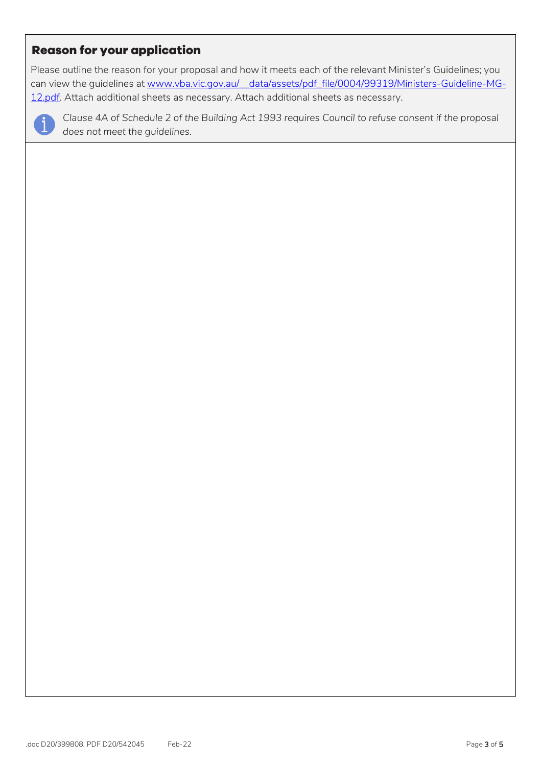# **Reason for your application**

Please outline the reason for your proposal and how it meets each of the relevant Minister's Guidelines; you can view the guidelines at www.vba.vic.gov.au/\_data/assets/pdf\_file/0004/99319/Ministers-Guideline-MG-[12.pdf.](https://www.vba.vic.gov.au/__data/assets/pdf_file/0004/99319/Ministers-Guideline-MG-12.pdf) Attach additional sheets as necessary. Attach additional sheets as necessary.



*Clause 4A of Schedule 2 of the Building Act 1993 requires Council to refuse consent if the proposal does not meet the guidelines.*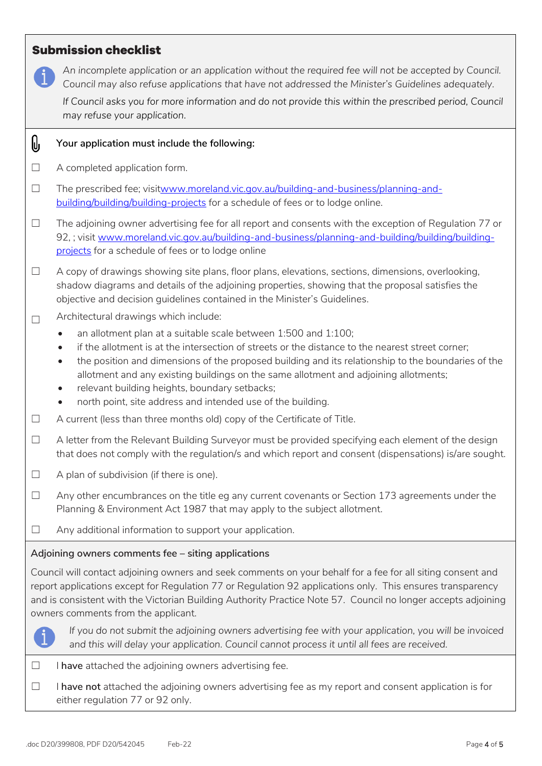| <b>Submission checklist</b> |  |
|-----------------------------|--|
|-----------------------------|--|

*An incomplete application or an application without the required fee will not be accepted by Council. Council may also refuse applications that have not addressed the Minister's Guidelines adequately.*

If Council asks you for more information and do not provide this within the prescribed period, Council *may refuse your application.*

#### Q, **Your application must include the following:**

- □ A completed application form.
- ☐ The prescribed fee; visi[twww.moreland.vic.gov.au/building-and-business/planning-and](https://www.moreland.vic.gov.au/building-and-business/planning-and-building/building/building-projects/)[building/building/building-projects](https://www.moreland.vic.gov.au/building-and-business/planning-and-building/building/building-projects/)</u> for a schedule of fees or to lodge online.
- ☐ The adjoining owner advertising fee for all report and consents with the exception of Regulation 77 or 92, ; visit [www.moreland.vic.gov.au/building-and-business/planning-and-building/building/building](http://www.moreland.vic.gov.au/building-and-business/planning-and-building/building/building-projects)[projects](http://www.moreland.vic.gov.au/building-and-business/planning-and-building/building/building-projects) for a schedule of fees or to lodge online
- $\Box$  A copy of drawings showing site plans, floor plans, elevations, sections, dimensions, overlooking, shadow diagrams and details of the adjoining properties, showing that the proposal satisfies the objective and decision guidelines contained in the Minister's Guidelines.
- ☐ Architectural drawings which include:
	- an allotment plan at a suitable scale between 1:500 and 1:100;
	- if the allotment is at the intersection of streets or the distance to the nearest street corner;
	- the position and dimensions of the proposed building and its relationship to the boundaries of the allotment and any existing buildings on the same allotment and adjoining allotments;
	- relevant building heights, boundary setbacks;
	- north point, site address and intended use of the building.
- ☐ A current (less than three months old) copy of the Certificate of Title.
- ☐ A letter from the Relevant Building Surveyor must be provided specifying each element of the design that does not comply with the regulation/s and which report and consent (dispensations) is/are sought.
- $\Box$  A plan of subdivision (if there is one).
- ☐ Any other encumbrances on the title eg any current covenants or Section 173 agreements under the Planning & Environment Act 1987 that may apply to the subject allotment.
- $\Box$  Any additional information to support your application.

### **Adjoining owners comments fee – siting applications**

Council will contact adjoining owners and seek comments on your behalf for a fee for all siting consent and report applications except for Regulation 77 or Regulation 92 applications only. This ensures transparency and is consistent with the Victorian Building Authority Practice Note 57. Council no longer accepts adjoining owners comments from the applicant.



*If you do not submit the adjoining owners advertising fee with your application, you will be invoiced and this will delay your application. Council cannot process it until all fees are received.* 

☐ I **have** attached the adjoining owners advertising fee.

☐ I **have not** attached the adjoining owners advertising fee as my report and consent application is for either regulation 77 or 92 only.